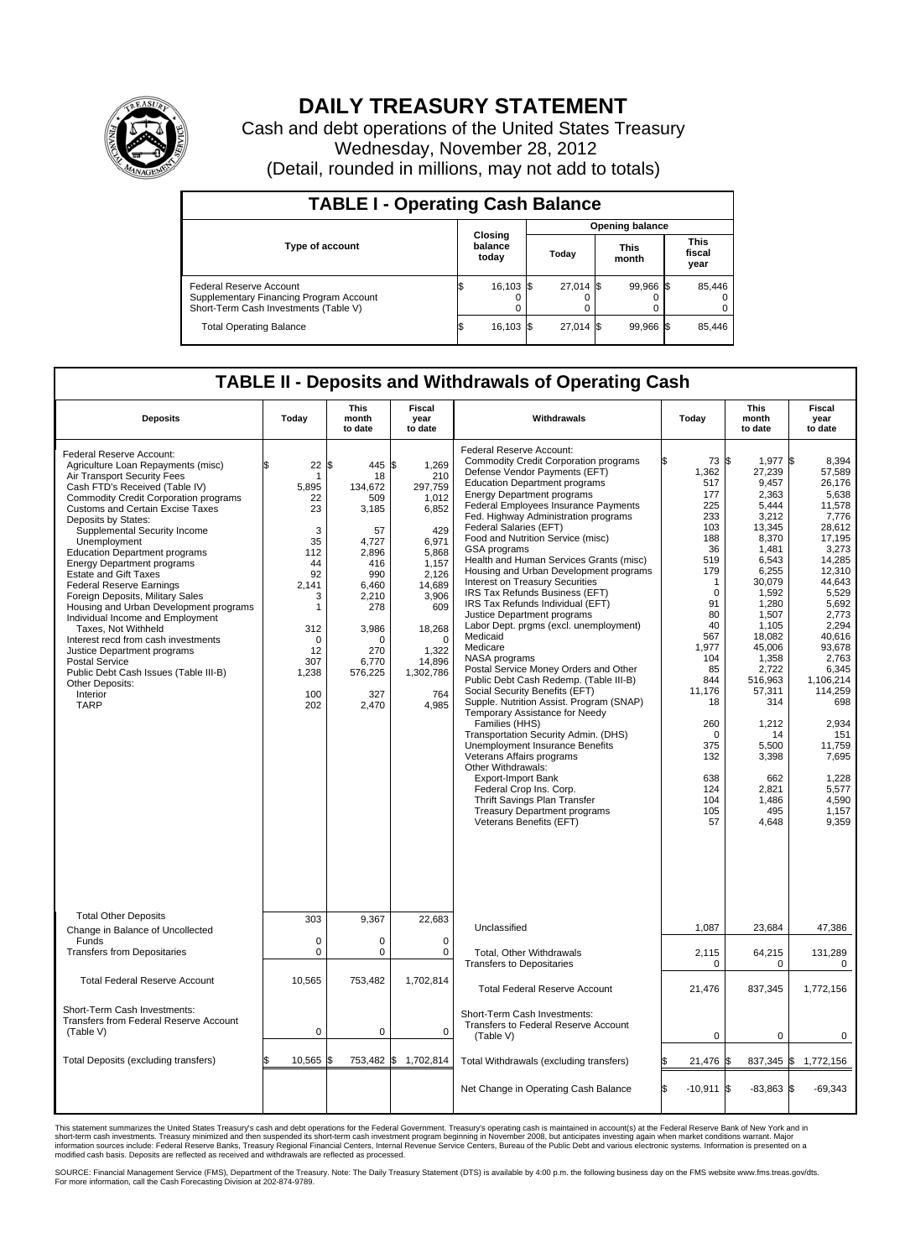

## **DAILY TREASURY STATEMENT**

Cash and debt operations of the United States Treasury Wednesday, November 28, 2012 (Detail, rounded in millions, may not add to totals)

| <b>TABLE I - Operating Cash Balance</b>                                                                     |                             |           |                        |             |                      |                |                               |        |  |
|-------------------------------------------------------------------------------------------------------------|-----------------------------|-----------|------------------------|-------------|----------------------|----------------|-------------------------------|--------|--|
|                                                                                                             | Closing<br>balance<br>today |           | <b>Opening balance</b> |             |                      |                |                               |        |  |
| <b>Type of account</b>                                                                                      |                             |           | Today                  |             | <b>This</b><br>month |                | <b>This</b><br>fiscal<br>year |        |  |
| Federal Reserve Account<br>Supplementary Financing Program Account<br>Short-Term Cash Investments (Table V) |                             | 16,103 \$ |                        | $27,014$ \$ |                      | 99.966 \$<br>0 |                               | 85,446 |  |
| <b>Total Operating Balance</b>                                                                              | IΦ                          | 16,103    |                        | 27.014 \$   |                      | 99.966 \$      |                               | 85,446 |  |

## **TABLE II - Deposits and Withdrawals of Operating Cash**

| <b>Deposits</b>                                                                                                                                                                                                                                                                                                                                                                                                                                                                                                                                                                                                                                                                                                                                                           | Today                                                                                                                                   | <b>This</b><br>month<br>to date                                                                                                                                          | <b>Fiscal</b><br>year<br>to date                                                                                                                                                            | Withdrawals                                                                                                                                                                                                                                                                                                                                                                                                                                                                                                                                                                                                                                                                                                                                                                                                                                                                                                                                                                                                                                                                                                                                                                        | Today                                                                                                                                                                                                                                                   | <b>This</b><br>month<br>to date                                                                                                                                                                                                                                                                | <b>Fiscal</b><br>year<br>to date                                                                                                                                                                                                                                                                          |
|---------------------------------------------------------------------------------------------------------------------------------------------------------------------------------------------------------------------------------------------------------------------------------------------------------------------------------------------------------------------------------------------------------------------------------------------------------------------------------------------------------------------------------------------------------------------------------------------------------------------------------------------------------------------------------------------------------------------------------------------------------------------------|-----------------------------------------------------------------------------------------------------------------------------------------|--------------------------------------------------------------------------------------------------------------------------------------------------------------------------|---------------------------------------------------------------------------------------------------------------------------------------------------------------------------------------------|------------------------------------------------------------------------------------------------------------------------------------------------------------------------------------------------------------------------------------------------------------------------------------------------------------------------------------------------------------------------------------------------------------------------------------------------------------------------------------------------------------------------------------------------------------------------------------------------------------------------------------------------------------------------------------------------------------------------------------------------------------------------------------------------------------------------------------------------------------------------------------------------------------------------------------------------------------------------------------------------------------------------------------------------------------------------------------------------------------------------------------------------------------------------------------|---------------------------------------------------------------------------------------------------------------------------------------------------------------------------------------------------------------------------------------------------------|------------------------------------------------------------------------------------------------------------------------------------------------------------------------------------------------------------------------------------------------------------------------------------------------|-----------------------------------------------------------------------------------------------------------------------------------------------------------------------------------------------------------------------------------------------------------------------------------------------------------|
| Federal Reserve Account:<br>Agriculture Loan Repayments (misc)<br>Air Transport Security Fees<br>Cash FTD's Received (Table IV)<br><b>Commodity Credit Corporation programs</b><br>Customs and Certain Excise Taxes<br>Deposits by States:<br>Supplemental Security Income<br>Unemployment<br><b>Education Department programs</b><br><b>Energy Department programs</b><br><b>Estate and Gift Taxes</b><br><b>Federal Reserve Earnings</b><br>Foreign Deposits, Military Sales<br>Housing and Urban Development programs<br>Individual Income and Employment<br>Taxes, Not Withheld<br>Interest recd from cash investments<br>Justice Department programs<br><b>Postal Service</b><br>Public Debt Cash Issues (Table III-B)<br>Other Deposits:<br>Interior<br><b>TARP</b> | 22<br>1<br>5,895<br>22<br>23<br>3<br>35<br>112<br>44<br>92<br>2,141<br>3<br>1<br>312<br>$\mathbf 0$<br>12<br>307<br>1,238<br>100<br>202 | 5<br>445<br>18<br>134,672<br>509<br>3,185<br>57<br>4,727<br>2,896<br>416<br>990<br>6,460<br>2,210<br>278<br>3,986<br>$\Omega$<br>270<br>6,770<br>576,225<br>327<br>2,470 | 1,269<br>l\$<br>210<br>297,759<br>1,012<br>6,852<br>429<br>6,971<br>5,868<br>1,157<br>2.126<br>14,689<br>3,906<br>609<br>18,268<br>$\Omega$<br>1,322<br>14,896<br>1,302,786<br>764<br>4,985 | Federal Reserve Account:<br><b>Commodity Credit Corporation programs</b><br>Defense Vendor Payments (EFT)<br><b>Education Department programs</b><br><b>Energy Department programs</b><br>Federal Employees Insurance Payments<br>Fed. Highway Administration programs<br>Federal Salaries (EFT)<br>Food and Nutrition Service (misc)<br>GSA programs<br>Health and Human Services Grants (misc)<br>Housing and Urban Development programs<br>Interest on Treasury Securities<br>IRS Tax Refunds Business (EFT)<br>IRS Tax Refunds Individual (EFT)<br>Justice Department programs<br>Labor Dept. prgms (excl. unemployment)<br>Medicaid<br>Medicare<br>NASA programs<br>Postal Service Money Orders and Other<br>Public Debt Cash Redemp. (Table III-B)<br>Social Security Benefits (EFT)<br>Supple. Nutrition Assist. Program (SNAP)<br>Temporary Assistance for Needy<br>Families (HHS)<br>Transportation Security Admin. (DHS)<br>Unemployment Insurance Benefits<br>Veterans Affairs programs<br>Other Withdrawals:<br><b>Export-Import Bank</b><br>Federal Crop Ins. Corp.<br>Thrift Savings Plan Transfer<br><b>Treasury Department programs</b><br>Veterans Benefits (EFT) | 73 \$<br>1,362<br>517<br>177<br>225<br>233<br>103<br>188<br>36<br>519<br>179<br>$\mathbf{1}$<br>$\mathbf 0$<br>91<br>80<br>40<br>567<br>1,977<br>104<br>85<br>844<br>11.176<br>18<br>260<br>$\mathbf 0$<br>375<br>132<br>638<br>124<br>104<br>105<br>57 | 1,977 \$<br>27,239<br>9,457<br>2,363<br>5,444<br>3.212<br>13,345<br>8,370<br>1,481<br>6,543<br>6,255<br>30,079<br>1,592<br>1,280<br>1,507<br>1,105<br>18,082<br>45,006<br>1,358<br>2,722<br>516.963<br>57,311<br>314<br>1,212<br>14<br>5,500<br>3,398<br>662<br>2,821<br>1,486<br>495<br>4,648 | 8.394<br>57,589<br>26.176<br>5,638<br>11,578<br>7,776<br>28,612<br>17.195<br>3,273<br>14,285<br>12,310<br>44.643<br>5,529<br>5,692<br>2,773<br>2,294<br>40,616<br>93.678<br>2.763<br>6,345<br>1,106,214<br>114,259<br>698<br>2,934<br>151<br>11,759<br>7,695<br>1,228<br>5,577<br>4,590<br>1,157<br>9,359 |
| <b>Total Other Deposits</b><br>Change in Balance of Uncollected                                                                                                                                                                                                                                                                                                                                                                                                                                                                                                                                                                                                                                                                                                           | 303                                                                                                                                     | 9,367                                                                                                                                                                    | 22,683                                                                                                                                                                                      | Unclassified                                                                                                                                                                                                                                                                                                                                                                                                                                                                                                                                                                                                                                                                                                                                                                                                                                                                                                                                                                                                                                                                                                                                                                       | 1,087                                                                                                                                                                                                                                                   | 23,684                                                                                                                                                                                                                                                                                         | 47,386                                                                                                                                                                                                                                                                                                    |
| Funds<br><b>Transfers from Depositaries</b>                                                                                                                                                                                                                                                                                                                                                                                                                                                                                                                                                                                                                                                                                                                               | 0<br>0                                                                                                                                  | 0<br>$\pmb{0}$                                                                                                                                                           | 0<br>0                                                                                                                                                                                      | Total, Other Withdrawals<br><b>Transfers to Depositaries</b>                                                                                                                                                                                                                                                                                                                                                                                                                                                                                                                                                                                                                                                                                                                                                                                                                                                                                                                                                                                                                                                                                                                       | 2,115<br>0                                                                                                                                                                                                                                              | 64,215<br>$\mathbf 0$                                                                                                                                                                                                                                                                          | 131,289<br>$\Omega$                                                                                                                                                                                                                                                                                       |
| <b>Total Federal Reserve Account</b>                                                                                                                                                                                                                                                                                                                                                                                                                                                                                                                                                                                                                                                                                                                                      | 10,565                                                                                                                                  | 753,482                                                                                                                                                                  | 1,702,814                                                                                                                                                                                   | <b>Total Federal Reserve Account</b>                                                                                                                                                                                                                                                                                                                                                                                                                                                                                                                                                                                                                                                                                                                                                                                                                                                                                                                                                                                                                                                                                                                                               | 21,476                                                                                                                                                                                                                                                  | 837,345                                                                                                                                                                                                                                                                                        | 1,772,156                                                                                                                                                                                                                                                                                                 |
| Short-Term Cash Investments:<br>Transfers from Federal Reserve Account<br>(Table V)                                                                                                                                                                                                                                                                                                                                                                                                                                                                                                                                                                                                                                                                                       | 0                                                                                                                                       | $\pmb{0}$                                                                                                                                                                | 0                                                                                                                                                                                           | Short-Term Cash Investments:<br>Transfers to Federal Reserve Account<br>(Table V)                                                                                                                                                                                                                                                                                                                                                                                                                                                                                                                                                                                                                                                                                                                                                                                                                                                                                                                                                                                                                                                                                                  | $\mathbf 0$                                                                                                                                                                                                                                             | $\mathbf 0$                                                                                                                                                                                                                                                                                    | $\mathbf 0$                                                                                                                                                                                                                                                                                               |
| Total Deposits (excluding transfers)                                                                                                                                                                                                                                                                                                                                                                                                                                                                                                                                                                                                                                                                                                                                      | 10,565                                                                                                                                  | 753,482 \$<br>ß                                                                                                                                                          | 1,702,814                                                                                                                                                                                   | Total Withdrawals (excluding transfers)                                                                                                                                                                                                                                                                                                                                                                                                                                                                                                                                                                                                                                                                                                                                                                                                                                                                                                                                                                                                                                                                                                                                            | 21,476 \$                                                                                                                                                                                                                                               | 837,345 \$                                                                                                                                                                                                                                                                                     | 1,772,156                                                                                                                                                                                                                                                                                                 |
|                                                                                                                                                                                                                                                                                                                                                                                                                                                                                                                                                                                                                                                                                                                                                                           |                                                                                                                                         |                                                                                                                                                                          |                                                                                                                                                                                             | Net Change in Operating Cash Balance                                                                                                                                                                                                                                                                                                                                                                                                                                                                                                                                                                                                                                                                                                                                                                                                                                                                                                                                                                                                                                                                                                                                               | $-10,911$ \$<br>l\$                                                                                                                                                                                                                                     | $-83,863$ \$                                                                                                                                                                                                                                                                                   | $-69,343$                                                                                                                                                                                                                                                                                                 |

This statement summarizes the United States Treasury's cash and debt operations for the Federal Government. Treasury's operating cash is maintained in account(s) at the Federal Reserve Bank of New York and in<br>short-term ca

SOURCE: Financial Management Service (FMS), Department of the Treasury. Note: The Daily Treasury Statement (DTS) is available by 4:00 p.m. the following business day on the FMS website www.fms.treas.gov/dts.<br>For more infor